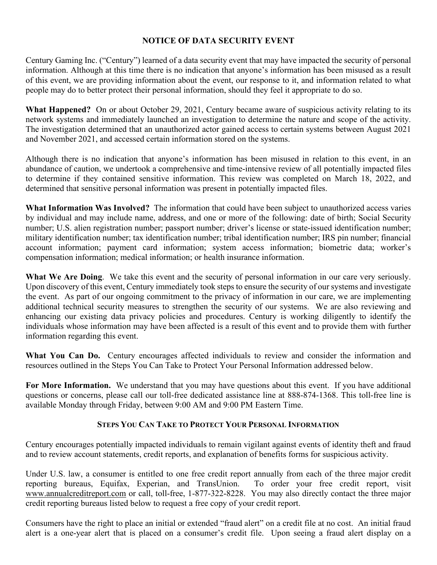## **NOTICE OF DATA SECURITY EVENT**

Century Gaming Inc. ("Century") learned of a data security event that may have impacted the security of personal information. Although at this time there is no indication that anyone's information has been misused as a result of this event, we are providing information about the event, our response to it, and information related to what people may do to better protect their personal information, should they feel it appropriate to do so.

**What Happened?** On or about October 29, 2021, Century became aware of suspicious activity relating to its network systems and immediately launched an investigation to determine the nature and scope of the activity. The investigation determined that an unauthorized actor gained access to certain systems between August 2021 and November 2021, and accessed certain information stored on the systems.

Although there is no indication that anyone's information has been misused in relation to this event, in an abundance of caution, we undertook a comprehensive and time-intensive review of all potentially impacted files to determine if they contained sensitive information. This review was completed on March 18, 2022, and determined that sensitive personal information was present in potentially impacted files.

**What Information Was Involved?** The information that could have been subject to unauthorized access varies by individual and may include name, address, and one or more of the following: date of birth; Social Security number; U.S. alien registration number; passport number; driver's license or state-issued identification number; military identification number; tax identification number; tribal identification number; IRS pin number; financial account information; payment card information; system access information; biometric data; worker's compensation information; medical information; or health insurance information.

**What We Are Doing**. We take this event and the security of personal information in our care very seriously. Upon discovery of this event, Century immediately took steps to ensure the security of our systems and investigate the event. As part of our ongoing commitment to the privacy of information in our care, we are implementing additional technical security measures to strengthen the security of our systems. We are also reviewing and enhancing our existing data privacy policies and procedures. Century is working diligently to identify the individuals whose information may have been affected is a result of this event and to provide them with further information regarding this event.

**What You Can Do.** Century encourages affected individuals to review and consider the information and resources outlined in the Steps You Can Take to Protect Your Personal Information addressed below.

**For More Information.** We understand that you may have questions about this event. If you have additional questions or concerns, please call our toll-free dedicated assistance line at 888-874-1368. This toll-free line is available Monday through Friday, between 9:00 AM and 9:00 PM Eastern Time.

## **STEPS YOU CAN TAKE TO PROTECT YOUR PERSONAL INFORMATION**

Century encourages potentially impacted individuals to remain vigilant against events of identity theft and fraud and to review account statements, credit reports, and explanation of benefits forms for suspicious activity.

Under U.S. law, a consumer is entitled to one free credit report annually from each of the three major credit reporting bureaus, Equifax, Experian, and TransUnion. To order your free credit report, visit www.annualcreditreport.com or call, toll-free, 1-877-322-8228. You may also directly contact the three major credit reporting bureaus listed below to request a free copy of your credit report.

Consumers have the right to place an initial or extended "fraud alert" on a credit file at no cost. An initial fraud alert is a one-year alert that is placed on a consumer's credit file. Upon seeing a fraud alert display on a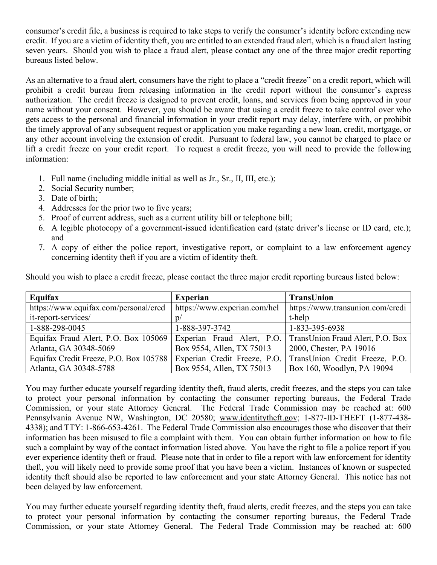consumer's credit file, a business is required to take steps to verify the consumer's identity before extending new credit. If you are a victim of identity theft, you are entitled to an extended fraud alert, which is a fraud alert lasting seven years. Should you wish to place a fraud alert, please contact any one of the three major credit reporting bureaus listed below.

As an alternative to a fraud alert, consumers have the right to place a "credit freeze" on a credit report, which will prohibit a credit bureau from releasing information in the credit report without the consumer's express authorization. The credit freeze is designed to prevent credit, loans, and services from being approved in your name without your consent. However, you should be aware that using a credit freeze to take control over who gets access to the personal and financial information in your credit report may delay, interfere with, or prohibit the timely approval of any subsequent request or application you make regarding a new loan, credit, mortgage, or any other account involving the extension of credit. Pursuant to federal law, you cannot be charged to place or lift a credit freeze on your credit report. To request a credit freeze, you will need to provide the following information:

- 1. Full name (including middle initial as well as Jr., Sr., II, III, etc.);
- 2. Social Security number;
- 3. Date of birth;
- 4. Addresses for the prior two to five years;
- 5. Proof of current address, such as a current utility bill or telephone bill;
- 6. A legible photocopy of a government-issued identification card (state driver's license or ID card, etc.); and
- 7. A copy of either the police report, investigative report, or complaint to a law enforcement agency concerning identity theft if you are a victim of identity theft.

Should you wish to place a credit freeze, please contact the three major credit reporting bureaus listed below:

| Equifax                                | <b>Experian</b>              | <b>TransUnion</b>                                             |
|----------------------------------------|------------------------------|---------------------------------------------------------------|
| https://www.equifax.com/personal/cred  | https://www.experian.com/hel | https://www.transunion.com/credi                              |
| it-report-services/                    |                              | t-help                                                        |
| 1-888-298-0045                         | 1-888-397-3742               | 1-833-395-6938                                                |
| Equifax Fraud Alert, P.O. Box 105069   |                              | Experian Fraud Alert, P.O.   TransUnion Fraud Alert, P.O. Box |
| Atlanta, GA 30348-5069                 | Box 9554, Allen, TX 75013    | 2000, Chester, PA 19016                                       |
| Equifax Credit Freeze, P.O. Box 105788 | Experian Credit Freeze, P.O. | TransUnion Credit Freeze, P.O.                                |
| Atlanta, GA 30348-5788                 | Box 9554, Allen, TX 75013    | Box 160, Woodlyn, PA 19094                                    |

You may further educate yourself regarding identity theft, fraud alerts, credit freezes, and the steps you can take to protect your personal information by contacting the consumer reporting bureaus, the Federal Trade Commission, or your state Attorney General.The Federal Trade Commission may be reached at: 600 Pennsylvania Avenue NW, Washington, DC 20580; www.identitytheft.gov; 1-877-ID-THEFT (1-877-438- 4338); and TTY: 1-866-653-4261. The Federal Trade Commission also encourages those who discover that their information has been misused to file a complaint with them. You can obtain further information on how to file such a complaint by way of the contact information listed above. You have the right to file a police report if you ever experience identity theft or fraud. Please note that in order to file a report with law enforcement for identity theft, you will likely need to provide some proof that you have been a victim. Instances of known or suspected identity theft should also be reported to law enforcement and your state Attorney General. This notice has not been delayed by law enforcement.

You may further educate yourself regarding identity theft, fraud alerts, credit freezes, and the steps you can take to protect your personal information by contacting the consumer reporting bureaus, the Federal Trade Commission, or your state Attorney General.The Federal Trade Commission may be reached at: 600